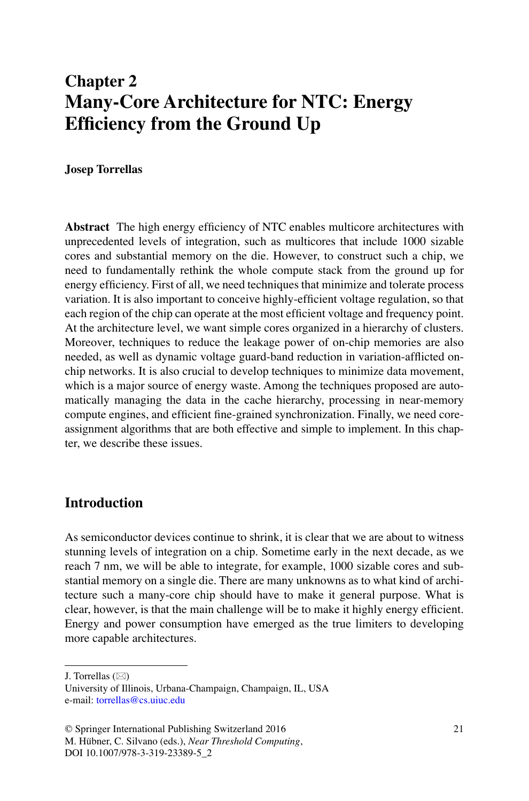# **Chapter 2 Many-Core Architecture for NTC: Energy Efficiency from the Ground Up**

#### **Josep Torrellas**

**Abstract** The high energy efficiency of NTC enables multicore architectures with unprecedented levels of integration, such as multicores that include 1000 sizable cores and substantial memory on the die. However, to construct such a chip, we need to fundamentally rethink the whole compute stack from the ground up for energy efficiency. First of all, we need techniques that minimize and tolerate process variation. It is also important to conceive highly-efficient voltage regulation, so that each region of the chip can operate at the most efficient voltage and frequency point. At the architecture level, we want simple cores organized in a hierarchy of clusters. Moreover, techniques to reduce the leakage power of on-chip memories are also needed, as well as dynamic voltage guard-band reduction in variation-afflicted onchip networks. It is also crucial to develop techniques to minimize data movement, which is a major source of energy waste. Among the techniques proposed are automatically managing the data in the cache hierarchy, processing in near-memory compute engines, and efficient fine-grained synchronization. Finally, we need coreassignment algorithms that are both effective and simple to implement. In this chapter, we describe these issues.

# **Introduction**

As semiconductor devices continue to shrink, it is clear that we are about to witness stunning levels of integration on a chip. Sometime early in the next decade, as we reach 7 nm, we will be able to integrate, for example, 1000 sizable cores and substantial memory on a single die. There are many unknowns as to what kind of architecture such a many-core chip should have to make it general purpose. What is clear, however, is that the main challenge will be to make it highly energy efficient. Energy and power consumption have emerged as the true limiters to developing more capable architectures.

M. Hübner, C. Silvano (eds.), *Near Threshold Computing*, DOI 10.1007/978-3-319-23389-5\_2

J. Torrellas  $(\boxtimes)$ 

University of Illinois, Urbana-Champaign, Champaign, IL, USA e-mail: [torrellas@cs.uiuc.edu](mailto:torrellas@cs.uiuc.edu)

<sup>©</sup> Springer International Publishing Switzerland 2016 21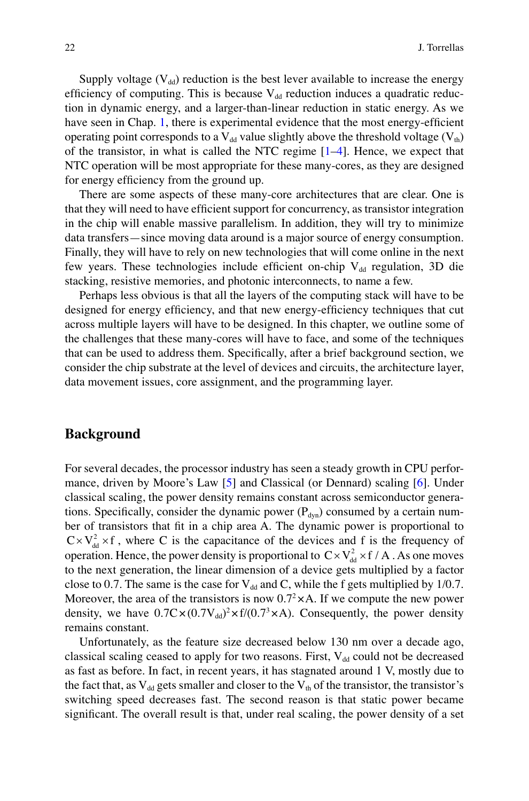Supply voltage  $(V_{dd})$  reduction is the best lever available to increase the energy efficiency of computing. This is because  $V_{dd}$  reduction induces a quadratic reduction in dynamic energy, and a larger-than-linear reduction in static energy. As we have seen in Chap. [1,](http://dx.doi.org/10.1007/978-3-319-23389-5_1) there is experimental evidence that the most energy-efficient operating point corresponds to a  $V_{dd}$  value slightly above the threshold voltage  $(V_{th})$ of the transistor, in what is called the NTC regime [[1–](#page-11-0)[4\]](#page-11-1). Hence, we expect that NTC operation will be most appropriate for these many-cores, as they are designed for energy efficiency from the ground up.

There are some aspects of these many-core architectures that are clear. One is that they will need to have efficient support for concurrency, as transistor integration in the chip will enable massive parallelism. In addition, they will try to minimize data transfers—since moving data around is a major source of energy consumption. Finally, they will have to rely on new technologies that will come online in the next few years. These technologies include efficient on-chip  $V_{dd}$  regulation, 3D die stacking, resistive memories, and photonic interconnects, to name a few.

Perhaps less obvious is that all the layers of the computing stack will have to be designed for energy efficiency, and that new energy-efficiency techniques that cut across multiple layers will have to be designed. In this chapter, we outline some of the challenges that these many-cores will have to face, and some of the techniques that can be used to address them. Specifically, after a brief background section, we consider the chip substrate at the level of devices and circuits, the architecture layer, data movement issues, core assignment, and the programming layer.

## **Background**

For several decades, the processor industry has seen a steady growth in CPU performance, driven by Moore's Law [[5\]](#page-11-2) and Classical (or Dennard) scaling [[6\]](#page-11-3). Under classical scaling, the power density remains constant across semiconductor generations. Specifically, consider the dynamic power  $(P_{dyn})$  consumed by a certain number of transistors that fit in a chip area A. The dynamic power is proportional to  $C \times V_{dd}^2 \times f$ , where C is the capacitance of the devices and f is the frequency of operation. Hence, the power density is proportional to  $C \times V_d^2 \times f / A$ . As one moves to the next generation, the linear dimension of a device gets multiplied by a factor close to 0.7. The same is the case for  $V_{dd}$  and C, while the f gets multiplied by 1/0.7. Moreover, the area of the transistors is now  $0.7<sup>2</sup> \times A$ . If we compute the new power density, we have  $0.7C \times (0.7V_{dd})^2 \times f/(0.7^3 \times A)$ . Consequently, the power density remains constant.

Unfortunately, as the feature size decreased below 130 nm over a decade ago, classical scaling ceased to apply for two reasons. First,  $V_{dd}$  could not be decreased as fast as before. In fact, in recent years, it has stagnated around 1 V, mostly due to the fact that, as  $V_{dd}$  gets smaller and closer to the  $V_{th}$  of the transistor, the transistor's switching speed decreases fast. The second reason is that static power became significant. The overall result is that, under real scaling, the power density of a set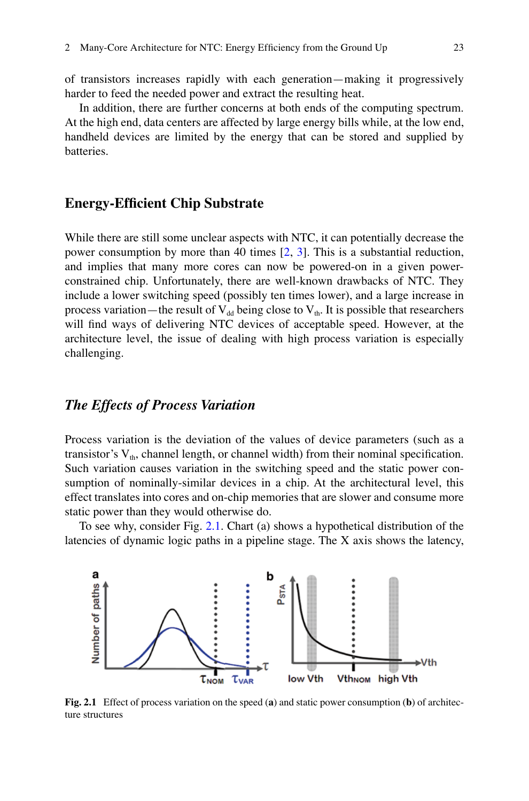of transistors increases rapidly with each generation—making it progressively harder to feed the needed power and extract the resulting heat.

In addition, there are further concerns at both ends of the computing spectrum. At the high end, data centers are affected by large energy bills while, at the low end, handheld devices are limited by the energy that can be stored and supplied by **batteries** 

# **Energy-Efficient Chip Substrate**

While there are still some unclear aspects with NTC, it can potentially decrease the power consumption by more than 40 times [[2,](#page-11-4) [3\]](#page-11-5). This is a substantial reduction, and implies that many more cores can now be powered-on in a given powerconstrained chip. Unfortunately, there are well-known drawbacks of NTC. They include a lower switching speed (possibly ten times lower), and a large increase in process variation—the result of  $V_{dd}$  being close to  $V_{th}$ . It is possible that researchers will find ways of delivering NTC devices of acceptable speed. However, at the architecture level, the issue of dealing with high process variation is especially challenging.

#### *The Effects of Process Variation*

Process variation is the deviation of the values of device parameters (such as a transistor's  $V_{th}$ , channel length, or channel width) from their nominal specification. Such variation causes variation in the switching speed and the static power consumption of nominally-similar devices in a chip. At the architectural level, this effect translates into cores and on-chip memories that are slower and consume more static power than they would otherwise do.

To see why, consider Fig. [2.1](#page-2-0). Chart (a) shows a hypothetical distribution of the latencies of dynamic logic paths in a pipeline stage. The X axis shows the latency,

<span id="page-2-0"></span>

**Fig. 2.1** Effect of process variation on the speed (**a**) and static power consumption (**b**) of architecture structures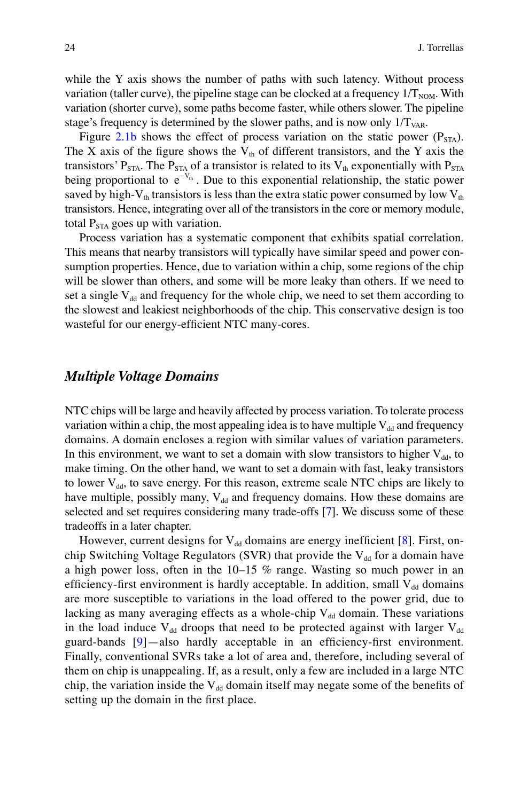while the Y axis shows the number of paths with such latency. Without process variation (taller curve), the pipeline stage can be clocked at a frequency  $1/T_{\text{NOM}}$ . With variation (shorter curve), some paths become faster, while others slower. The pipeline stage's frequency is determined by the slower paths, and is now only  $1/T_{VAR}$ .

Figure [2.1b](#page-2-0) shows the effect of process variation on the static power  $(P_{STA})$ . The X axis of the figure shows the  $V_{th}$  of different transistors, and the Y axis the transistors' P<sub>STA</sub>. The P<sub>STA</sub> of a transistor is related to its V<sub>th</sub> exponentially with P<sub>STA</sub> being proportional to  $e^{-V_{th}}$ . Due to this exponential relationship, the static power saved by high- $V_{th}$  transistors is less than the extra static power consumed by low  $V_{th}$ transistors. Hence, integrating over all of the transistors in the core or memory module, total  $P_{STA}$  goes up with variation.

Process variation has a systematic component that exhibits spatial correlation. This means that nearby transistors will typically have similar speed and power consumption properties. Hence, due to variation within a chip, some regions of the chip will be slower than others, and some will be more leaky than others. If we need to set a single  $V_{dd}$  and frequency for the whole chip, we need to set them according to the slowest and leakiest neighborhoods of the chip. This conservative design is too wasteful for our energy-efficient NTC many-cores.

# *Multiple Voltage Domains*

NTC chips will be large and heavily affected by process variation. To tolerate process variation within a chip, the most appealing idea is to have multiple  $V_{dd}$  and frequency domains. A domain encloses a region with similar values of variation parameters. In this environment, we want to set a domain with slow transistors to higher  $V_{dd}$ , to make timing. On the other hand, we want to set a domain with fast, leaky transistors to lower  $V_{dd}$ , to save energy. For this reason, extreme scale NTC chips are likely to have multiple, possibly many,  $V_{dd}$  and frequency domains. How these domains are selected and set requires considering many trade-offs [[7\]](#page-11-6). We discuss some of these tradeoffs in a later chapter.

However, current designs for  $V_{dd}$  domains are energy inefficient [[8](#page-11-7)]. First, onchip Switching Voltage Regulators (SVR) that provide the  $V_{dd}$  for a domain have a high power loss, often in the 10–15 % range. Wasting so much power in an efficiency-first environment is hardly acceptable. In addition, small  $V_{dd}$  domains are more susceptible to variations in the load offered to the power grid, due to lacking as many averaging effects as a whole-chip  $V_{dd}$  domain. These variations in the load induce  $V_{dd}$  droops that need to be protected against with larger  $V_{dd}$ guard-bands [[9\]](#page-11-8)—also hardly acceptable in an efficiency-first environment. Finally, conventional SVRs take a lot of area and, therefore, including several of them on chip is unappealing. If, as a result, only a few are included in a large NTC chip, the variation inside the  $V_{dd}$  domain itself may negate some of the benefits of setting up the domain in the first place.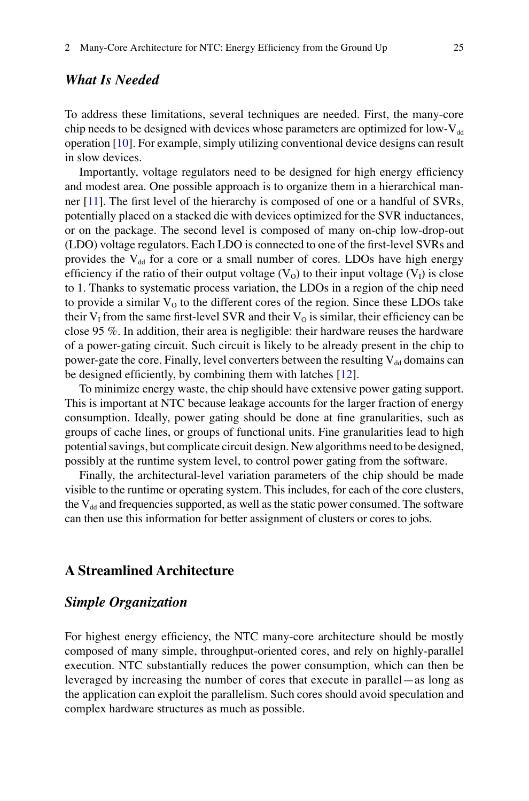# *What Is Needed*

To address these limitations, several techniques are needed. First, the many-core chip needs to be designed with devices whose parameters are optimized for low- $V_{dd}$ operation [[10\]](#page-11-9). For example, simply utilizing conventional device designs can result in slow devices.

Importantly, voltage regulators need to be designed for high energy efficiency and modest area. One possible approach is to organize them in a hierarchical manner [[11](#page-11-10)]. The first level of the hierarchy is composed of one or a handful of SVRs, potentially placed on a stacked die with devices optimized for the SVR inductances, or on the package. The second level is composed of many on-chip low-drop-out (LDO) voltage regulators. Each LDO is connected to one of the first-level SVRs and provides the  $V_{dd}$  for a core or a small number of cores. LDOs have high energy efficiency if the ratio of their output voltage  $(V_0)$  to their input voltage  $(V_1)$  is close to 1. Thanks to systematic process variation, the LDOs in a region of the chip need to provide a similar  $V_0$  to the different cores of the region. Since these LDOs take their  $V_1$  from the same first-level SVR and their  $V_0$  is similar, their efficiency can be close 95 %. In addition, their area is negligible: their hardware reuses the hardware of a power-gating circuit. Such circuit is likely to be already present in the chip to power-gate the core. Finally, level converters between the resulting  $V_{dd}$  domains can be designed efficiently, by combining them with latches [[12\]](#page-11-11).

To minimize energy waste, the chip should have extensive power gating support. This is important at NTC because leakage accounts for the larger fraction of energy consumption. Ideally, power gating should be done at fine granularities, such as groups of cache lines, or groups of functional units. Fine granularities lead to high potential savings, but complicate circuit design. New algorithms need to be designed, possibly at the runtime system level, to control power gating from the software.

Finally, the architectural-level variation parameters of the chip should be made visible to the runtime or operating system. This includes, for each of the core clusters, the  $V_{dd}$  and frequencies supported, as well as the static power consumed. The software can then use this information for better assignment of clusters or cores to jobs.

# **A Streamlined Architecture**

#### *Simple Organization*

For highest energy efficiency, the NTC many-core architecture should be mostly composed of many simple, throughput-oriented cores, and rely on highly-parallel execution. NTC substantially reduces the power consumption, which can then be leveraged by increasing the number of cores that execute in parallel—as long as the application can exploit the parallelism. Such cores should avoid speculation and complex hardware structures as much as possible.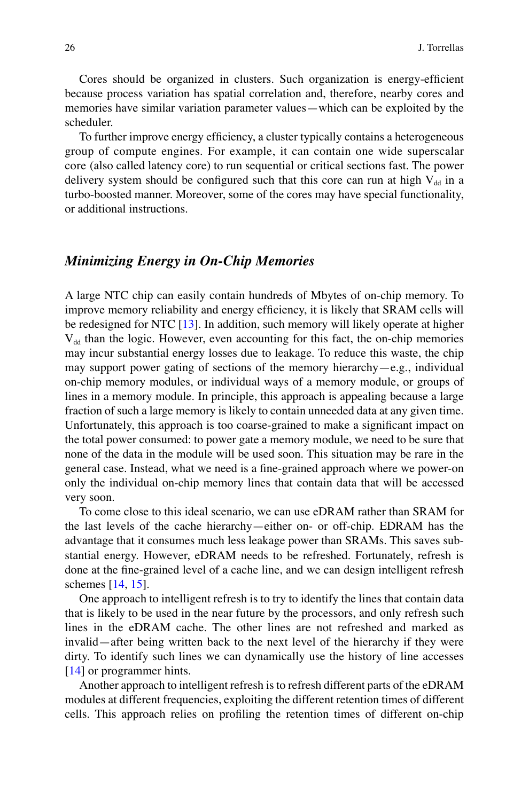Cores should be organized in clusters. Such organization is energy-efficient because process variation has spatial correlation and, therefore, nearby cores and memories have similar variation parameter values—which can be exploited by the scheduler.

To further improve energy efficiency, a cluster typically contains a heterogeneous group of compute engines. For example, it can contain one wide superscalar core (also called latency core) to run sequential or critical sections fast. The power delivery system should be configured such that this core can run at high  $V_{dd}$  in a turbo-boosted manner. Moreover, some of the cores may have special functionality, or additional instructions.

#### *Minimizing Energy in On-Chip Memories*

A large NTC chip can easily contain hundreds of Mbytes of on-chip memory. To improve memory reliability and energy efficiency, it is likely that SRAM cells will be redesigned for NTC [[13\]](#page-11-12). In addition, such memory will likely operate at higher  $V_{dd}$  than the logic. However, even accounting for this fact, the on-chip memories may incur substantial energy losses due to leakage. To reduce this waste, the chip may support power gating of sections of the memory hierarchy—e.g., individual on-chip memory modules, or individual ways of a memory module, or groups of lines in a memory module. In principle, this approach is appealing because a large fraction of such a large memory is likely to contain unneeded data at any given time. Unfortunately, this approach is too coarse-grained to make a significant impact on the total power consumed: to power gate a memory module, we need to be sure that none of the data in the module will be used soon. This situation may be rare in the general case. Instead, what we need is a fine-grained approach where we power-on only the individual on-chip memory lines that contain data that will be accessed very soon.

To come close to this ideal scenario, we can use eDRAM rather than SRAM for the last levels of the cache hierarchy—either on- or off-chip. EDRAM has the advantage that it consumes much less leakage power than SRAMs. This saves substantial energy. However, eDRAM needs to be refreshed. Fortunately, refresh is done at the fine-grained level of a cache line, and we can design intelligent refresh schemes [[14,](#page-11-13) [15\]](#page-12-0).

One approach to intelligent refresh is to try to identify the lines that contain data that is likely to be used in the near future by the processors, and only refresh such lines in the eDRAM cache. The other lines are not refreshed and marked as invalid—after being written back to the next level of the hierarchy if they were dirty. To identify such lines we can dynamically use the history of line accesses [\[14](#page-11-13)] or programmer hints.

Another approach to intelligent refresh is to refresh different parts of the eDRAM modules at different frequencies, exploiting the different retention times of different cells. This approach relies on profiling the retention times of different on-chip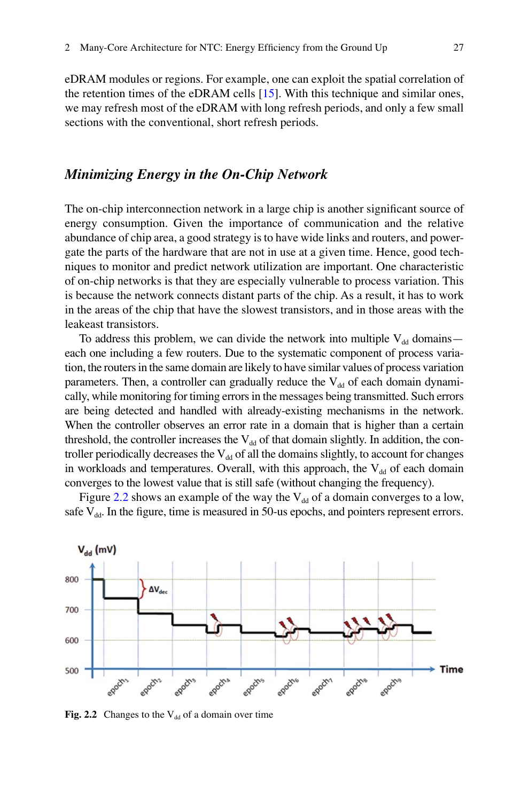eDRAM modules or regions. For example, one can exploit the spatial correlation of the retention times of the eDRAM cells [\[15](#page-12-0)]. With this technique and similar ones, we may refresh most of the eDRAM with long refresh periods, and only a few small sections with the conventional, short refresh periods.

### *Minimizing Energy in the On-Chip Network*

The on-chip interconnection network in a large chip is another significant source of energy consumption. Given the importance of communication and the relative abundance of chip area, a good strategy is to have wide links and routers, and powergate the parts of the hardware that are not in use at a given time. Hence, good techniques to monitor and predict network utilization are important. One characteristic of on-chip networks is that they are especially vulnerable to process variation. This is because the network connects distant parts of the chip. As a result, it has to work in the areas of the chip that have the slowest transistors, and in those areas with the leakeast transistors.

To address this problem, we can divide the network into multiple  $V_{dd}$  domains each one including a few routers. Due to the systematic component of process variation, the routers in the same domain are likely to have similar values of process variation parameters. Then, a controller can gradually reduce the  $V_{dd}$  of each domain dynamically, while monitoring for timing errors in the messages being transmitted. Such errors are being detected and handled with already-existing mechanisms in the network. When the controller observes an error rate in a domain that is higher than a certain threshold, the controller increases the  $V_{dd}$  of that domain slightly. In addition, the controller periodically decreases the  $V_{dd}$  of all the domains slightly, to account for changes in workloads and temperatures. Overall, with this approach, the  $V_{dd}$  of each domain converges to the lowest value that is still safe (without changing the frequency).

Figure [2.2](#page-6-0) shows an example of the way the  $V_{dd}$  of a domain converges to a low, safe  $V_{dd}$ . In the figure, time is measured in 50-us epochs, and pointers represent errors.

<span id="page-6-0"></span>

**Fig. 2.2** Changes to the  $V_{dd}$  of a domain over time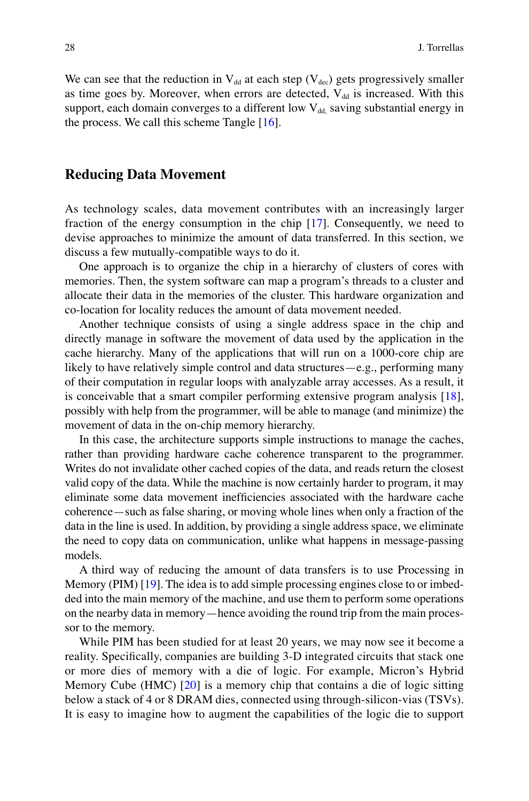We can see that the reduction in  $V_{dd}$  at each step ( $V_{dec}$ ) gets progressively smaller as time goes by. Moreover, when errors are detected,  $V_{dd}$  is increased. With this support, each domain converges to a different low  $V_{dd}$  saving substantial energy in the process. We call this scheme Tangle [\[16](#page-12-1)].

## **Reducing Data Movement**

As technology scales, data movement contributes with an increasingly larger fraction of the energy consumption in the chip [\[17](#page-12-2)]. Consequently, we need to devise approaches to minimize the amount of data transferred. In this section, we discuss a few mutually-compatible ways to do it.

One approach is to organize the chip in a hierarchy of clusters of cores with memories. Then, the system software can map a program's threads to a cluster and allocate their data in the memories of the cluster. This hardware organization and co-location for locality reduces the amount of data movement needed.

Another technique consists of using a single address space in the chip and directly manage in software the movement of data used by the application in the cache hierarchy. Many of the applications that will run on a 1000-core chip are likely to have relatively simple control and data structures—e.g., performing many of their computation in regular loops with analyzable array accesses. As a result, it is conceivable that a smart compiler performing extensive program analysis [[18\]](#page-12-3), possibly with help from the programmer, will be able to manage (and minimize) the movement of data in the on-chip memory hierarchy.

In this case, the architecture supports simple instructions to manage the caches, rather than providing hardware cache coherence transparent to the programmer. Writes do not invalidate other cached copies of the data, and reads return the closest valid copy of the data. While the machine is now certainly harder to program, it may eliminate some data movement inefficiencies associated with the hardware cache coherence—such as false sharing, or moving whole lines when only a fraction of the data in the line is used. In addition, by providing a single address space, we eliminate the need to copy data on communication, unlike what happens in message-passing models.

A third way of reducing the amount of data transfers is to use Processing in Memory (PIM) [\[19](#page-12-4)]. The idea is to add simple processing engines close to or imbedded into the main memory of the machine, and use them to perform some operations on the nearby data in memory—hence avoiding the round trip from the main processor to the memory.

While PIM has been studied for at least 20 years, we may now see it become a reality. Specifically, companies are building 3-D integrated circuits that stack one or more dies of memory with a die of logic. For example, Micron's Hybrid Memory Cube (HMC) [\[20](#page-12-5)] is a memory chip that contains a die of logic sitting below a stack of 4 or 8 DRAM dies, connected using through-silicon-vias (TSVs). It is easy to imagine how to augment the capabilities of the logic die to support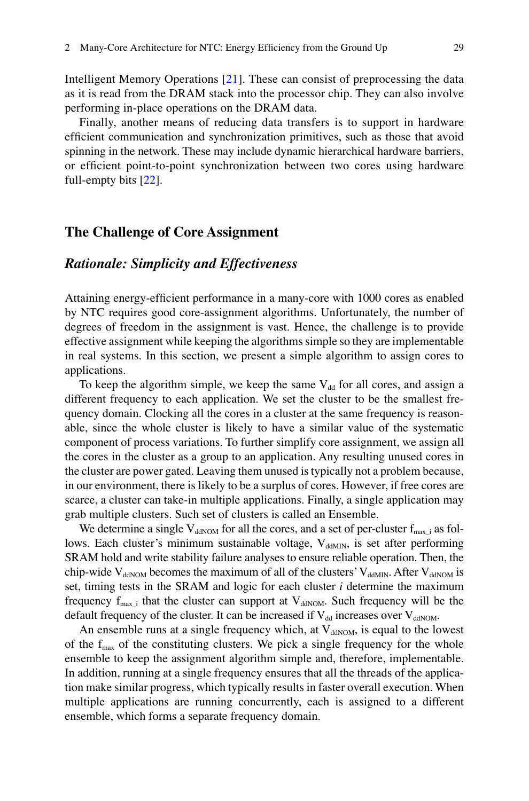Intelligent Memory Operations [[21](#page-12-6)]. These can consist of preprocessing the data as it is read from the DRAM stack into the processor chip. They can also involve performing in-place operations on the DRAM data.

Finally, another means of reducing data transfers is to support in hardware efficient communication and synchronization primitives, such as those that avoid spinning in the network. These may include dynamic hierarchical hardware barriers, or efficient point-to-point synchronization between two cores using hardware full-empty bits [\[22](#page-12-7)].

# **The Challenge of Core Assignment**

#### *Rationale: Simplicity and Effectiveness*

Attaining energy-efficient performance in a many-core with 1000 cores as enabled by NTC requires good core-assignment algorithms. Unfortunately, the number of degrees of freedom in the assignment is vast. Hence, the challenge is to provide effective assignment while keeping the algorithms simple so they are implementable in real systems. In this section, we present a simple algorithm to assign cores to applications.

To keep the algorithm simple, we keep the same  $V_{dd}$  for all cores, and assign a different frequency to each application. We set the cluster to be the smallest frequency domain. Clocking all the cores in a cluster at the same frequency is reasonable, since the whole cluster is likely to have a similar value of the systematic component of process variations. To further simplify core assignment, we assign all the cores in the cluster as a group to an application. Any resulting unused cores in the cluster are power gated. Leaving them unused is typically not a problem because, in our environment, there is likely to be a surplus of cores. However, if free cores are scarce, a cluster can take-in multiple applications. Finally, a single application may grab multiple clusters. Such set of clusters is called an Ensemble.

We determine a single  $V_{ddNOM}$  for all the cores, and a set of per-cluster  $f_{max}$  as follows. Each cluster's minimum sustainable voltage,  $V_{ddMIN}$ , is set after performing SRAM hold and write stability failure analyses to ensure reliable operation. Then, the chip-wide  $V_{\text{ddNOM}}$  becomes the maximum of all of the clusters'  $V_{\text{ddNOM}}$ . After  $V_{\text{ddNOM}}$  is set, timing tests in the SRAM and logic for each cluster *i* determine the maximum frequency  $f_{\text{max i}}$  that the cluster can support at  $V_{\text{ddNOM}}$ . Such frequency will be the default frequency of the cluster. It can be increased if  $V_{dd}$  increases over  $V_{ddNOM}$ .

An ensemble runs at a single frequency which, at  $V_{ddNOM}$ , is equal to the lowest of the  $f_{\text{max}}$  of the constituting clusters. We pick a single frequency for the whole ensemble to keep the assignment algorithm simple and, therefore, implementable. In addition, running at a single frequency ensures that all the threads of the application make similar progress, which typically results in faster overall execution. When multiple applications are running concurrently, each is assigned to a different ensemble, which forms a separate frequency domain.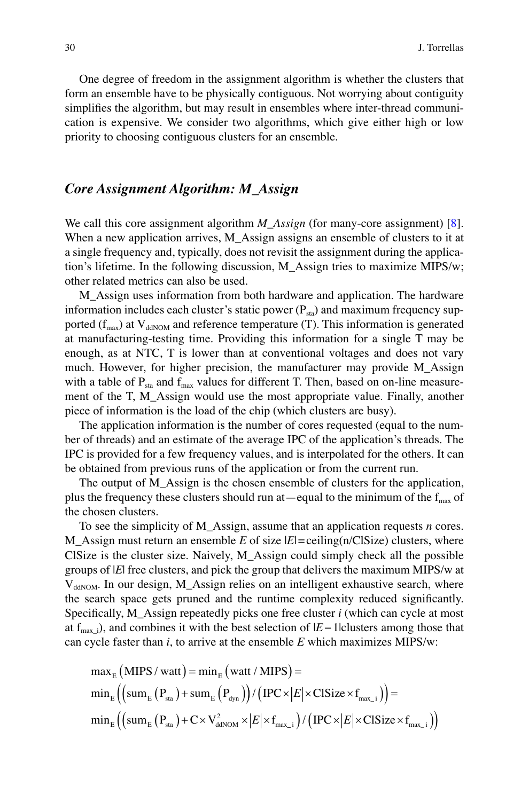One degree of freedom in the assignment algorithm is whether the clusters that form an ensemble have to be physically contiguous. Not worrying about contiguity simplifies the algorithm, but may result in ensembles where inter-thread communication is expensive. We consider two algorithms, which give either high or low priority to choosing contiguous clusters for an ensemble.

# *Core Assignment Algorithm: M\_Assign*

We call this core assignment algorithm *M\_Assign* (for many-core assignment) [[8\]](#page-11-7). When a new application arrives, M\_Assign assigns an ensemble of clusters to it at a single frequency and, typically, does not revisit the assignment during the application's lifetime. In the following discussion, M\_Assign tries to maximize MIPS/w; other related metrics can also be used.

M\_Assign uses information from both hardware and application. The hardware information includes each cluster's static power  $(P_{sta})$  and maximum frequency supported  $(f<sub>max</sub>)$  at  $V<sub>ddNOM</sub>$  and reference temperature (T). This information is generated at manufacturing-testing time. Providing this information for a single T may be enough, as at NTC, T is lower than at conventional voltages and does not vary much. However, for higher precision, the manufacturer may provide M\_Assign with a table of  $P_{sta}$  and  $f_{max}$  values for different T. Then, based on on-line measurement of the T, M. Assign would use the most appropriate value. Finally, another piece of information is the load of the chip (which clusters are busy).

The application information is the number of cores requested (equal to the number of threads) and an estimate of the average IPC of the application's threads. The IPC is provided for a few frequency values, and is interpolated for the others. It can be obtained from previous runs of the application or from the current run.

The output of M\_Assign is the chosen ensemble of clusters for the application, plus the frequency these clusters should run at—equal to the minimum of the  $f_{\text{max}}$  of the chosen clusters.

To see the simplicity of M\_Assign, assume that an application requests *n* cores. M\_Assign must return an ensemble  $E$  of size  $|E|$  = ceiling(n/ClSize) clusters, where ClSize is the cluster size. Naively, M\_Assign could simply check all the possible groups of |*E*| free clusters, and pick the group that delivers the maximum MIPS/w at  $V_{ddNOM}$ . In our design, M\_Assign relies on an intelligent exhaustive search, where the search space gets pruned and the runtime complexity reduced significantly. Specifically, M\_Assign repeatedly picks one free cluster *i* (which can cycle at most at f<sub>max</sub><sub>i</sub>), and combines it with the best selection of  $|E-1|$ clusters among those that can cycle faster than *i*, to arrive at the ensemble *E* which maximizes MIPS/w:

$$
\begin{aligned}\n\max_{E} \left( \text{MIPS} / \, \text{watt} \right) &= \min_{E} \left( \text{watt} / \, \text{MIPS} \right) = \\
\min_{E} \left( \left( \text{sum}_{E} \left( P_{sta} \right) + \text{sum}_{E} \left( P_{dyn} \right) \right) / \left( \text{IPC} \times \left| E \right| \times \text{CISize} \times f_{max_i} \right) \right) = \\
\min_{E} \left( \left( \text{sum}_{E} \left( P_{sta} \right) + \text{C} \times V_{ddNOM}^2 \times \left| E \right| \times f_{max_i} \right) / \left( \text{IPC} \times \left| E \right| \times \text{CISize} \times f_{max_i} \right) \right)\n\end{aligned}
$$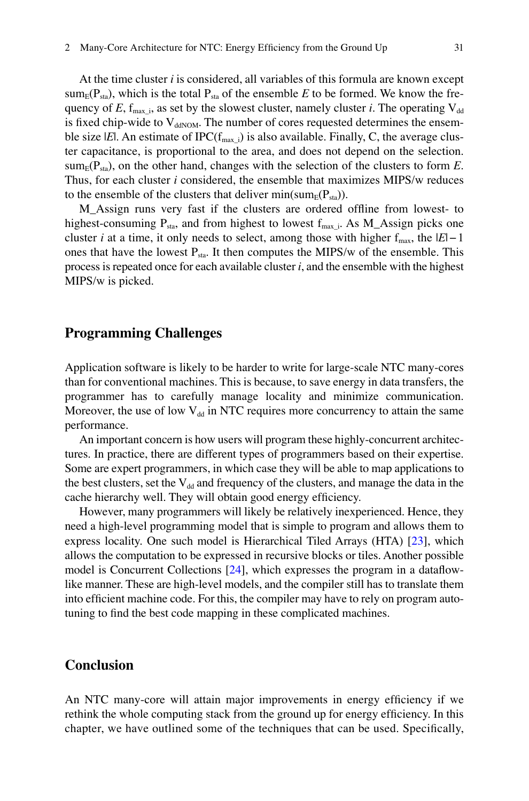At the time cluster *i* is considered, all variables of this formula are known except  $sum_{E}(P_{sta})$ , which is the total  $P_{sta}$  of the ensemble *E* to be formed. We know the frequency of *E*,  $f_{\text{max}}$ <sub>i</sub>, as set by the slowest cluster, namely cluster *i*. The operating  $V_{\text{dd}}$ is fixed chip-wide to  $V_{ddNOM}$ . The number of cores requested determines the ensemble size |*E*|. An estimate of  $IPC(f_{max i})$  is also available. Finally, C, the average cluster capacitance, is proportional to the area, and does not depend on the selection.  $sum_{E}(P_{sta})$ , on the other hand, changes with the selection of the clusters to form *E*. Thus, for each cluster *i* considered, the ensemble that maximizes MIPS/w reduces to the ensemble of the clusters that deliver min(sum<sub>F</sub>( $P_{sta}$ )).

M\_Assign runs very fast if the clusters are ordered offline from lowest- to highest-consuming  $P_{sta}$ , and from highest to lowest  $f_{max}$ . As M\_Assign picks one cluster *i* at a time, it only needs to select, among those with higher  $f_{max}$ , the  $|E|-1$ ones that have the lowest  $P_{sta}$ . It then computes the MIPS/w of the ensemble. This process is repeated once for each available cluster *i*, and the ensemble with the highest MIPS/w is picked.

#### **Programming Challenges**

Application software is likely to be harder to write for large-scale NTC many-cores than for conventional machines. This is because, to save energy in data transfers, the programmer has to carefully manage locality and minimize communication. Moreover, the use of low  $V_{dd}$  in NTC requires more concurrency to attain the same performance.

An important concern is how users will program these highly-concurrent architectures. In practice, there are different types of programmers based on their expertise. Some are expert programmers, in which case they will be able to map applications to the best clusters, set the  $V_{dd}$  and frequency of the clusters, and manage the data in the cache hierarchy well. They will obtain good energy efficiency.

However, many programmers will likely be relatively inexperienced. Hence, they need a high-level programming model that is simple to program and allows them to express locality. One such model is Hierarchical Tiled Arrays (HTA) [\[23\]](#page-12-8), which allows the computation to be expressed in recursive blocks or tiles. Another possible model is Concurrent Collections [[24\]](#page-12-9), which expresses the program in a dataflowlike manner. These are high-level models, and the compiler still has to translate them into efficient machine code. For this, the compiler may have to rely on program autotuning to find the best code mapping in these complicated machines.

## **Conclusion**

An NTC many-core will attain major improvements in energy efficiency if we rethink the whole computing stack from the ground up for energy efficiency. In this chapter, we have outlined some of the techniques that can be used. Specifically,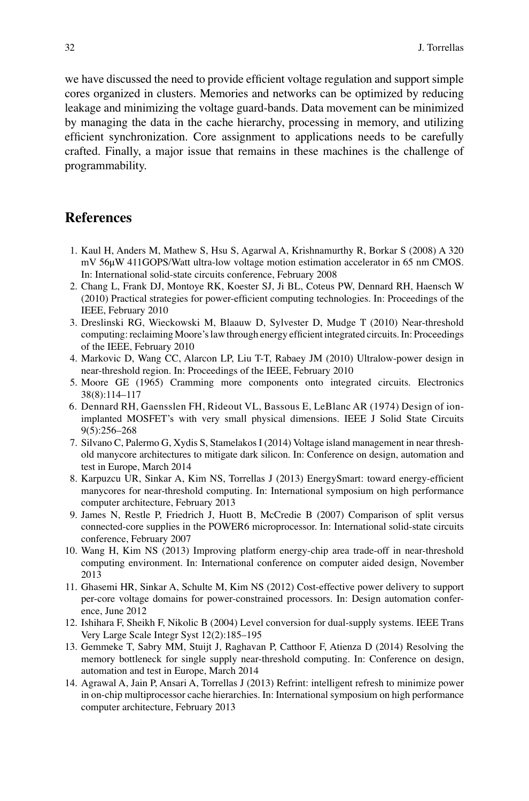we have discussed the need to provide efficient voltage regulation and support simple cores organized in clusters. Memories and networks can be optimized by reducing leakage and minimizing the voltage guard-bands. Data movement can be minimized by managing the data in the cache hierarchy, processing in memory, and utilizing efficient synchronization. Core assignment to applications needs to be carefully crafted. Finally, a major issue that remains in these machines is the challenge of programmability.

# **References**

- <span id="page-11-0"></span>1. Kaul H, Anders M, Mathew S, Hsu S, Agarwal A, Krishnamurthy R, Borkar S (2008) A 320 mV 56μW 411GOPS/Watt ultra-low voltage motion estimation accelerator in 65 nm CMOS. In: International solid-state circuits conference, February 2008
- <span id="page-11-4"></span>2. Chang L, Frank DJ, Montoye RK, Koester SJ, Ji BL, Coteus PW, Dennard RH, Haensch W (2010) Practical strategies for power-efficient computing technologies. In: Proceedings of the IEEE, February 2010
- <span id="page-11-5"></span>3. Dreslinski RG, Wieckowski M, Blaauw D, Sylvester D, Mudge T (2010) Near-threshold computing: reclaiming Moore's law through energy efficient integrated circuits. In: Proceedings of the IEEE, February 2010
- <span id="page-11-1"></span>4. Markovic D, Wang CC, Alarcon LP, Liu T-T, Rabaey JM (2010) Ultralow-power design in near-threshold region. In: Proceedings of the IEEE, February 2010
- <span id="page-11-2"></span>5. Moore GE (1965) Cramming more components onto integrated circuits. Electronics 38(8):114–117
- <span id="page-11-3"></span>6. Dennard RH, Gaensslen FH, Rideout VL, Bassous E, LeBlanc AR (1974) Design of ionimplanted MOSFET's with very small physical dimensions. IEEE J Solid State Circuits 9(5):256–268
- <span id="page-11-6"></span>7. Silvano C, Palermo G, Xydis S, Stamelakos I (2014) Voltage island management in near threshold manycore architectures to mitigate dark silicon. In: Conference on design, automation and test in Europe, March 2014
- <span id="page-11-7"></span>8. Karpuzcu UR, Sinkar A, Kim NS, Torrellas J (2013) EnergySmart: toward energy-efficient manycores for near-threshold computing. In: International symposium on high performance computer architecture, February 2013
- <span id="page-11-8"></span>9. James N, Restle P, Friedrich J, Huott B, McCredie B (2007) Comparison of split versus connected-core supplies in the POWER6 microprocessor. In: International solid-state circuits conference, February 2007
- <span id="page-11-9"></span>10. Wang H, Kim NS (2013) Improving platform energy-chip area trade-off in near-threshold computing environment. In: International conference on computer aided design, November 2013
- <span id="page-11-10"></span>11. Ghasemi HR, Sinkar A, Schulte M, Kim NS (2012) Cost-effective power delivery to support per-core voltage domains for power-constrained processors. In: Design automation conference, June 2012
- <span id="page-11-11"></span>12. Ishihara F, Sheikh F, Nikolic B (2004) Level conversion for dual-supply systems. IEEE Trans Very Large Scale Integr Syst 12(2):185–195
- <span id="page-11-12"></span>13. Gemmeke T, Sabry MM, Stuijt J, Raghavan P, Catthoor F, Atienza D (2014) Resolving the memory bottleneck for single supply near-threshold computing. In: Conference on design, automation and test in Europe, March 2014
- <span id="page-11-13"></span>14. Agrawal A, Jain P, Ansari A, Torrellas J (2013) Refrint: intelligent refresh to minimize power in on-chip multiprocessor cache hierarchies. In: International symposium on high performance computer architecture, February 2013